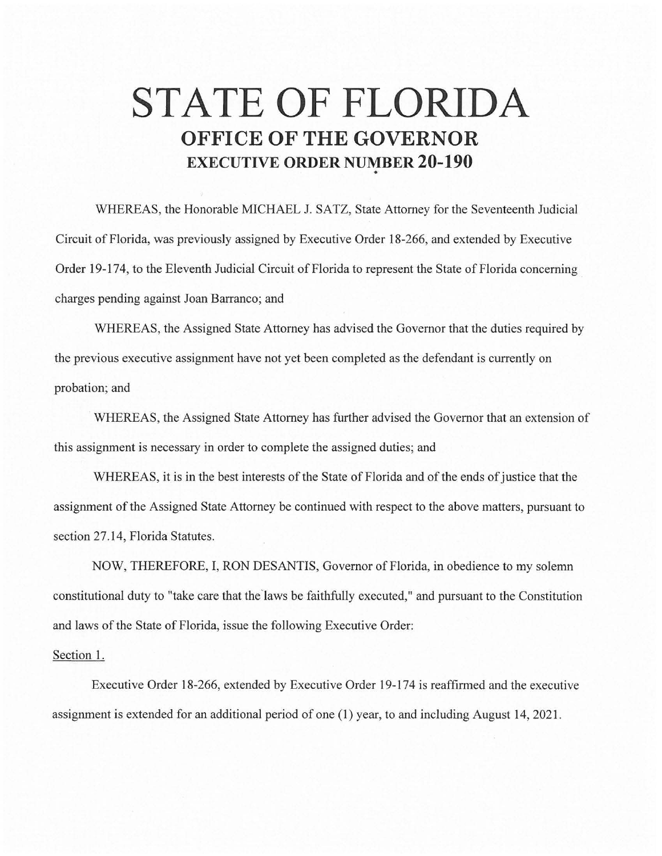## **STATE OF FLORIDA OFFICE OF THE GOVERNOR EXECUTIVE ORDER NUMBER 20-190**  •

WHEREAS, the Honorable MICHAEL J. SATZ, State Attorney for the Seventeenth Judicial Circuit of Florida, was previously assigned by Executive Order 18-266, and extended by Executive Order 19-174, to the Eleventh Judicial Circuit of Florida to represent the State of Florida concerning charges pending against Joan Barranco; and

WHEREAS, the Assigned State Attorney has advised the Governor that the duties required by the previous executive assignment have not yet been completed as the defendant is currently on probation; and

WHEREAS, the Assigned State Attorney has further advised the Governor that an extension of this assignment is necessary in order to complete the assigned duties; and

WHEREAS, it is in the best interests of the State of Florida and of the ends of justice that the assignment of the Assigned State Attorney be continued with respect to the above matters, pursuant to section 27.14, Florida Statutes.

NOW, THEREFORE, I, RON DESANTIS, Governor of Florida, in obedience to my solemn constitutional duty to "take care that the'laws be faithfully executed," and pursuant to the Constitution and laws of the State of Florida, issue the following Executive Order:

## Section 1.

Executive Order 18-266, extended by Executive Order 19-174 is reaffirmed and the executive assignment is extended for an additional period of one (1) year, to and including August 14, 2021 .